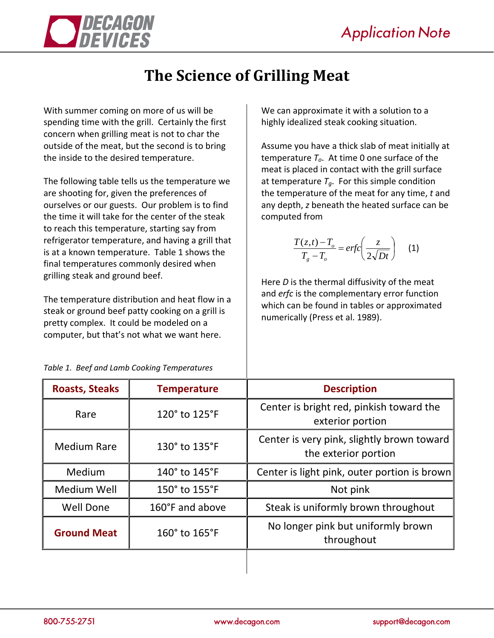

## **The Science of Grilling Meat**

With summer coming on more of us will be spending time with the grill. Certainly the first concern when grilling meat is not to char the outside of the meat, but the second is to bring the inside to the desired temperature.

The following table tells us the temperature we are shooting for, given the preferences of ourselves or our guests. Our problem is to find the time it will take for the center of the steak to reach this temperature, starting say from refrigerator temperature, and having a grill that is at a known temperature. Table 1 shows the final temperatures commonly desired when grilling steak and ground beef.

The temperature distribution and heat flow in a steak or ground beef patty cooking on a grill is pretty complex. It could be modeled on a computer, but that's not what we want here.

We can approximate it with a solution to a highly idealized steak cooking situation.

Assume you have a thick slab of meat initially at temperature  $T<sub>o</sub>$ . At time 0 one surface of the meat is placed in contact with the grill surface at temperature  $T_a$ . For this simple condition the temperature of the meat for any time, *t* and any depth, *z* beneath the heated surface can be computed from

$$
\frac{T(z,t) - T_o}{T_g - T_o} = erfc\left(\frac{z}{2\sqrt{Dt}}\right) \quad (1)
$$

Here *D* is the thermal diffusivity of the meat and *erfc* is the complementary error function which can be found in tables or approximated numerically (Press et al. 1989).

| <b>Roasts, Steaks</b> | <b>Temperature</b> | <b>Description</b>                                                 |
|-----------------------|--------------------|--------------------------------------------------------------------|
| Rare                  | 120° to 125°F      | Center is bright red, pinkish toward the<br>exterior portion       |
| <b>Medium Rare</b>    | 130° to 135°F      | Center is very pink, slightly brown toward<br>the exterior portion |
| Medium                | 140° to 145°F      | Center is light pink, outer portion is brown                       |
| Medium Well           | 150° to 155°F      | Not pink                                                           |
| <b>Well Done</b>      | 160°F and above    | Steak is uniformly brown throughout                                |
| <b>Ground Meat</b>    | 160° to 165°F      | No longer pink but uniformly brown<br>throughout                   |
|                       |                    |                                                                    |

*Table 1. Beef and Lamb Cooking Temperatures*